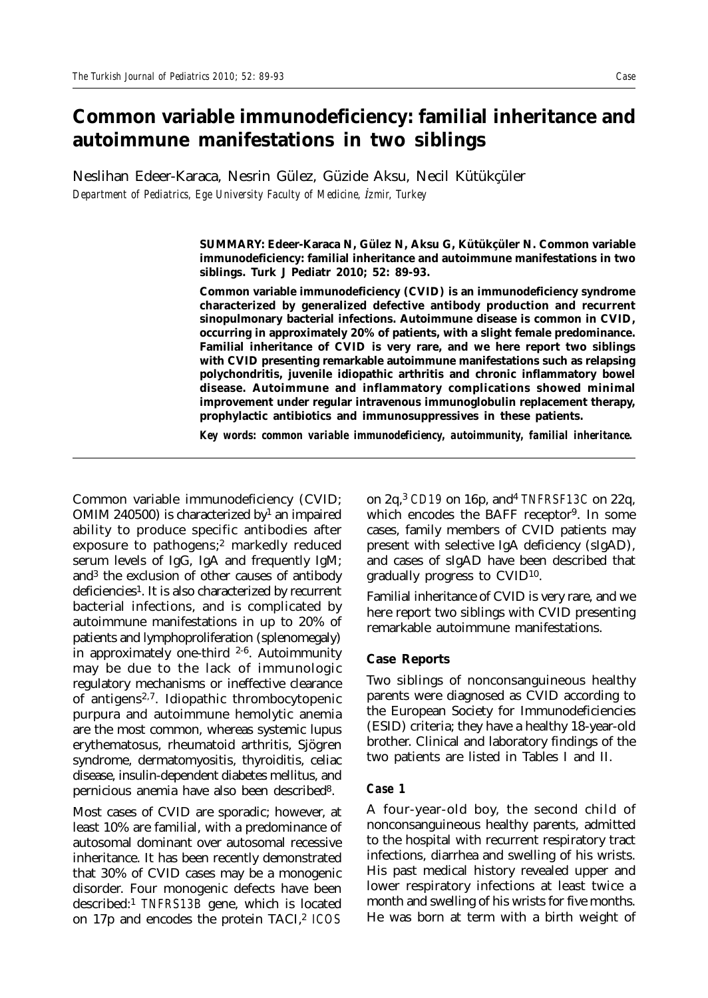# **Common variable immunodeficiency: familial inheritance and autoimmune manifestations in two siblings**

Neslihan Edeer-Karaca, Nesrin Gülez, Güzide Aksu, Necil Kütükçüler *Department of Pediatrics, Ege University Faculty of Medicine, úzmir, Turkey*

> **SUMMARY: Edeer-Karaca N, Gülez N, Aksu G, Kütükçüler N. Common variable immunodeficiency: familial inheritance and autoimmune manifestations in two siblings. Turk J Pediatr 2010; 52: 89-93.**

> **Common variable immunodeficiency (CVID) is an immunodeficiency syndrome characterized by generalized defective antibody production and recurrent sinopulmonary bacterial infections. Autoimmune disease is common in CVID, occurring in approximately 20% of patients, with a slight female predominance. Familial inheritance of CVID is very rare, and we here report two siblings with CVID presenting remarkable autoimmune manifestations such as relapsing polychondritis, juvenile idiopathic arthritis and chronic inflammatory bowel disease. Autoimmune and inflammatory complications showed minimal improvement under regular intravenous immunoglobulin replacement therapy, prophylactic antibiotics and immunosuppressives in these patients.**

> *Key words: common variable immunodeficiency, autoimmunity, familial inheritance.*

Common variable immunodeficiency (CVID; OMIM 240500) is characterized by<sup>1</sup> an impaired ability to produce specific antibodies after exposure to pathogens;2 markedly reduced serum levels of IgG, IgA and frequently IgM; and3 the exclusion of other causes of antibody deficiencies<sup>1</sup>. It is also characterized by recurrent bacterial infections, and is complicated by autoimmune manifestations in up to 20% of patients and lymphoproliferation (splenomegaly) in approximately one-third  $2-6$ . Autoimmunity may be due to the lack of immunologic regulatory mechanisms or ineffective clearance of antigens2,7. Idiopathic thrombocytopenic purpura and autoimmune hemolytic anemia are the most common, whereas systemic lupus erythematosus, rheumatoid arthritis, Sjögren syndrome, dermatomyositis, thyroiditis, celiac disease, insulin-dependent diabetes mellitus, and pernicious anemia have also been described8.

Most cases of CVID are sporadic; however, at least 10% are familial, with a predominance of autosomal dominant over autosomal recessive inheritance. It has been recently demonstrated that 30% of CVID cases may be a monogenic disorder. Four monogenic defects have been described:1 *TNFRS13B* gene, which is located on 17p and encodes the protein TACI,2 *ICOS* on 2q,3 *CD19* on 16p, and4 *TNFRSF13C* on 22q, which encodes the BAFF receptor<sup>9</sup>. In some cases, family members of CVID patients may present with selective IgA deficiency (sIgAD), and cases of sIgAD have been described that gradually progress to CVID10.

Familial inheritance of CVID is very rare, and we here report two siblings with CVID presenting remarkable autoimmune manifestations.

### **Case Reports**

Two siblings of nonconsanguineous healthy parents were diagnosed as CVID according to the European Society for Immunodeficiencies (ESID) criteria; they have a healthy 18-year-old brother. Clinical and laboratory findings of the two patients are listed in Tables I and II.

## *Case 1*

A four-year-old boy, the second child of nonconsanguineous healthy parents, admitted to the hospital with recurrent respiratory tract infections, diarrhea and swelling of his wrists. His past medical history revealed upper and lower respiratory infections at least twice a month and swelling of his wrists for five months. He was born at term with a birth weight of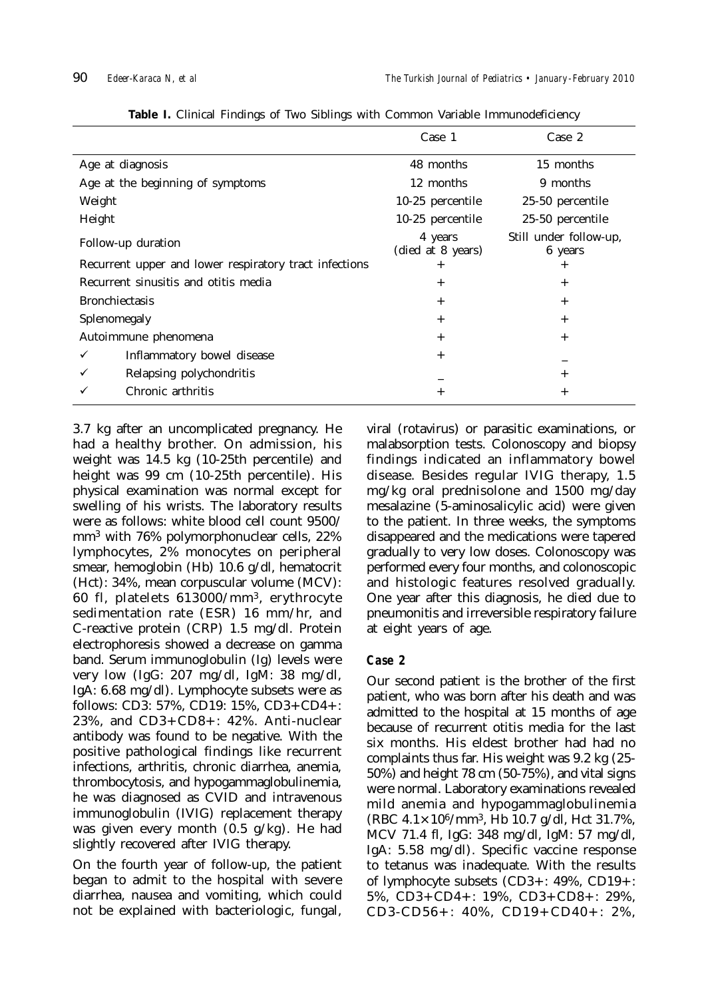|                                                        | Case 1                       | Case 2                            |
|--------------------------------------------------------|------------------------------|-----------------------------------|
| Age at diagnosis                                       | 48 months                    | 15 months                         |
| Age at the beginning of symptoms                       | 12 months                    | 9 months                          |
| Weight                                                 | 10-25 percentile             | 25-50 percentile                  |
| Height                                                 | 10-25 percentile             | 25-50 percentile                  |
| Follow-up duration                                     | 4 years<br>(died at 8 years) | Still under follow-up,<br>6 years |
| Recurrent upper and lower respiratory tract infections | $^{+}$                       | $^{+}$                            |
| Recurrent sinusitis and otitis media                   | $^{+}$                       | $^{+}$                            |
| <b>Bronchiectasis</b>                                  | $^{+}$                       | $^{+}$                            |
| Splenomegaly                                           | $^{+}$                       | $^{+}$                            |
| Autoimmune phenomena                                   | $+$                          | $+$                               |
| Inflammatory bowel disease<br>✓                        | $^{+}$                       |                                   |
| Relapsing polychondritis<br>✓                          |                              | $^{+}$                            |
| Chronic arthritis                                      | $^{+}$                       | $^{+}$                            |

**Table I.** Clinical Findings of Two Siblings with Common Variable Immunodeficiency

3.7 kg after an uncomplicated pregnancy. He had a healthy brother. On admission, his weight was 14.5 kg (10-25th percentile) and height was 99 cm (10-25th percentile). His physical examination was normal except for swelling of his wrists. The laboratory results were as follows: white blood cell count 9500/ mm3 with 76% polymorphonuclear cells, 22% lymphocytes, 2% monocytes on peripheral smear, hemoglobin (Hb) 10.6 g/dl, hematocrit (Hct): 34%, mean corpuscular volume (MCV): 60 fl, platelets 613000/mm3, erythrocyte sedimentation rate (ESR) 16 mm/hr, and C-reactive protein (CRP) 1.5 mg/dl. Protein electrophoresis showed a decrease on gamma band. Serum immunoglobulin (Ig) levels were very low (IgG: 207 mg/dl, IgM: 38 mg/dl, IgA: 6.68 mg/dl). Lymphocyte subsets were as follows: CD3: 57%, CD19: 15%, CD3+CD4+: 23%, and CD3+CD8+: 42%. Anti-nuclear antibody was found to be negative. With the positive pathological findings like recurrent infections, arthritis, chronic diarrhea, anemia, thrombocytosis, and hypogammaglobulinemia, he was diagnosed as CVID and intravenous immunoglobulin (IVIG) replacement therapy was given every month (0.5 g/kg). He had slightly recovered after IVIG therapy.

On the fourth year of follow-up, the patient began to admit to the hospital with severe diarrhea, nausea and vomiting, which could not be explained with bacteriologic, fungal,

viral (rotavirus) or parasitic examinations, or malabsorption tests. Colonoscopy and biopsy findings indicated an inflammatory bowel disease. Besides regular IVIG therapy, 1.5 mg/kg oral prednisolone and 1500 mg/day mesalazine (5-aminosalicylic acid) were given to the patient. In three weeks, the symptoms disappeared and the medications were tapered gradually to very low doses. Colonoscopy was performed every four months, and colonoscopic and histologic features resolved gradually. One year after this diagnosis, he died due to pneumonitis and irreversible respiratory failure at eight years of age.

# *Case 2*

Our second patient is the brother of the first patient, who was born after his death and was admitted to the hospital at 15 months of age because of recurrent otitis media for the last six months. His eldest brother had had no complaints thus far. His weight was 9.2 kg (25- 50%) and height 78 cm (50-75%), and vital signs were normal. Laboratory examinations revealed mild anemia and hypogammaglobulinemia (RBC 4.1×106/mm3, Hb 10.7 g/dl, Hct 31.7%, MCV 71.4 fl, IgG: 348 mg/dl, IgM: 57 mg/dl, IgA: 5.58 mg/dl). Specific vaccine response to tetanus was inadequate. With the results of lymphocyte subsets (CD3+: 49%, CD19+: 5%, CD3+CD4+: 19%, CD3+CD8+: 29%, CD3-CD56+: 40%, CD19+CD40+: 2%,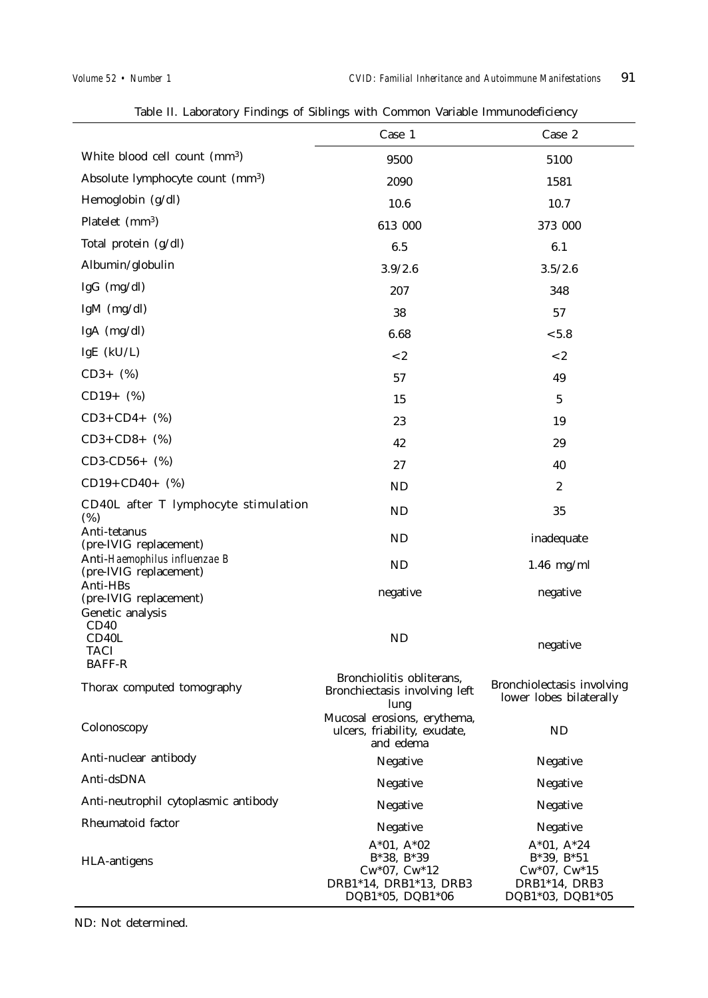$\overline{a}$ 

|                                                         | Case 1                                                                                          | Case 2                                                                            |
|---------------------------------------------------------|-------------------------------------------------------------------------------------------------|-----------------------------------------------------------------------------------|
| White blood cell count (mm <sup>3</sup> )               | 9500                                                                                            | 5100                                                                              |
| Absolute lymphocyte count (mm <sup>3</sup> )            | 2090                                                                                            | 1581                                                                              |
| Hemoglobin (g/dl)                                       | 10.6                                                                                            | 10.7                                                                              |
| Platelet (mm <sup>3</sup> )                             | 613 000                                                                                         | 373 000                                                                           |
| Total protein (g/dl)                                    | 6.5                                                                                             | 6.1                                                                               |
| Albumin/globulin                                        | 3.9/2.6                                                                                         | 3.5/2.6                                                                           |
| IgG $(mg/dl)$                                           | 207                                                                                             | 348                                                                               |
| IgM $(mg/dl)$                                           | 38                                                                                              | 57                                                                                |
| IgA (mg/dl)                                             | 6.68                                                                                            | < 5.8                                                                             |
| IgE $(kU/L)$                                            | $< 2$                                                                                           | < 2                                                                               |
| $CD3+$ (%)                                              | 57                                                                                              | 49                                                                                |
| $CD19+$ (%)                                             | 15                                                                                              | 5                                                                                 |
| $CD3 + CD4 + (%)$                                       | 23                                                                                              | 19                                                                                |
| $CD3 + CD8 + (%)$                                       | 42                                                                                              | 29                                                                                |
| $CD3-CD56+$ (%)                                         | 27                                                                                              | 40                                                                                |
| $CD19 + CD40 +$ (%)                                     | ND                                                                                              | $\boldsymbol{2}$                                                                  |
| CD40L after T lymphocyte stimulation<br>$(\%)$          | ND                                                                                              | 35                                                                                |
| Anti-tetanus<br>(pre-IVIG replacement)                  | ND                                                                                              | inadequate                                                                        |
| Anti-Haemophilus influenzae B<br>(pre-IVIG replacement) | ND                                                                                              | $1.46$ mg/ml                                                                      |
| Anti-HBs<br>(pre-IVIG replacement)<br>Genetic analysis  | negative                                                                                        | negative                                                                          |
| CD40<br>CD40L<br>TACI<br><b>BAFF-R</b>                  | ND                                                                                              | negative                                                                          |
| Thorax computed tomography                              | Bronchiolitis obliterans,<br>Bronchiectasis involving left<br>lung                              | Bronchiolectasis involving<br>lower lobes bilaterally                             |
| Colonoscopy                                             | Mucosal erosions, erythema,<br>ulcers, friability, exudate,<br>and edema                        | <b>ND</b>                                                                         |
| Anti-nuclear antibody                                   | Negative                                                                                        | Negative                                                                          |
| Anti-dsDNA                                              | Negative                                                                                        | Negative                                                                          |
| Anti-neutrophil cytoplasmic antibody                    | Negative                                                                                        | Negative                                                                          |
| Rheumatoid factor                                       | Negative                                                                                        | Negative                                                                          |
| HLA-antigens                                            | $A*01, A*02$<br>$B*38, B*39$<br>$Cw*07$ , $Cw*12$<br>DRB1*14, DRB1*13, DRB3<br>DQB1*05, DQB1*06 | $A*01, A*24$<br>$B*39, B*51$<br>Cw*07, Cw*15<br>DRB1*14, DRB3<br>DQB1*03, DQB1*05 |

Table II. Laboratory Findings of Siblings with Common Variable Immunodeficiency

ND: Not determined.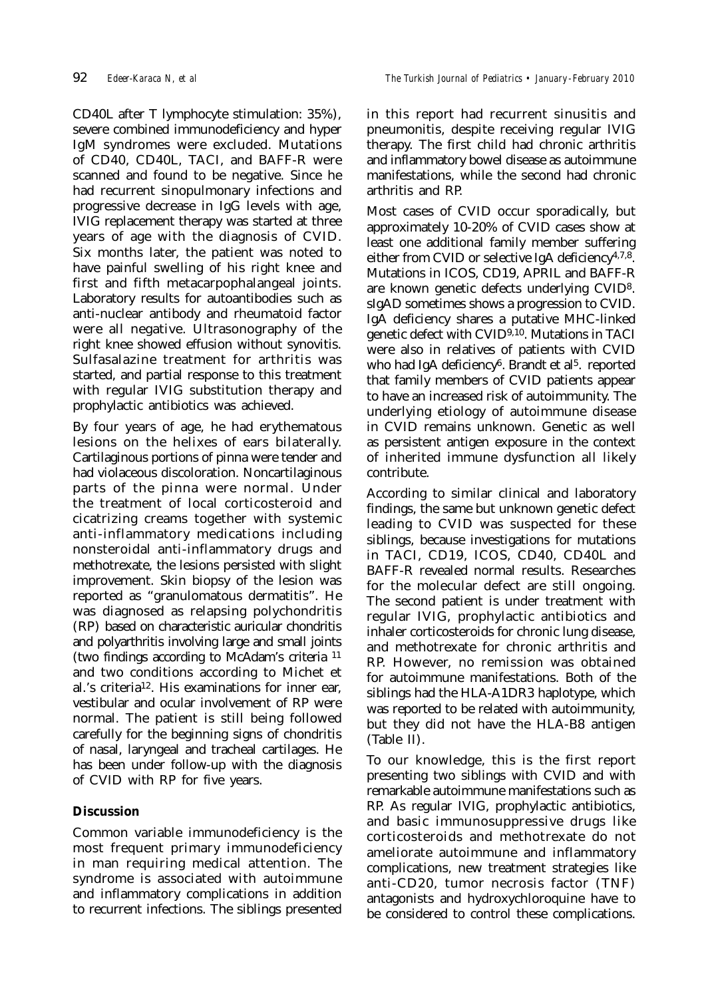CD40L after T lymphocyte stimulation: 35%), severe combined immunodeficiency and hyper IgM syndromes were excluded. Mutations of CD40, CD40L, TACI, and BAFF-R were scanned and found to be negative. Since he had recurrent sinopulmonary infections and progressive decrease in IgG levels with age, IVIG replacement therapy was started at three years of age with the diagnosis of CVID. Six months later, the patient was noted to have painful swelling of his right knee and first and fifth metacarpophalangeal joints. Laboratory results for autoantibodies such as anti-nuclear antibody and rheumatoid factor were all negative. Ultrasonography of the right knee showed effusion without synovitis. Sulfasalazine treatment for arthritis was started, and partial response to this treatment with regular IVIG substitution therapy and prophylactic antibiotics was achieved.

By four years of age, he had erythematous lesions on the helixes of ears bilaterally. Cartilaginous portions of pinna were tender and had violaceous discoloration. Noncartilaginous parts of the pinna were normal. Under the treatment of local corticosteroid and cicatrizing creams together with systemic anti-inflammatory medications including nonsteroidal anti-inflammatory drugs and methotrexate, the lesions persisted with slight improvement. Skin biopsy of the lesion was reported as "granulomatous dermatitis". He was diagnosed as relapsing polychondritis (RP) based on characteristic auricular chondritis and polyarthritis involving large and small joints (two findings according to McAdam's criteria 11 and two conditions according to Michet et al.'s criteria12. His examinations for inner ear, vestibular and ocular involvement of RP were normal. The patient is still being followed carefully for the beginning signs of chondritis of nasal, laryngeal and tracheal cartilages. He has been under follow-up with the diagnosis of CVID with RP for five years.

# **Discussion**

Common variable immunodeficiency is the most frequent primary immunodeficiency in man requiring medical attention. The syndrome is associated with autoimmune and inflammatory complications in addition to recurrent infections. The siblings presented

in this report had recurrent sinusitis and pneumonitis, despite receiving regular IVIG therapy. The first child had chronic arthritis and inflammatory bowel disease as autoimmune manifestations, while the second had chronic arthritis and RP.

Most cases of CVID occur sporadically, but approximately 10-20% of CVID cases show at least one additional family member suffering either from CVID or selective IgA deficiency<sup>4,7,8</sup>. Mutations in ICOS, CD19, APRIL and BAFF-R are known genetic defects underlying CVID8. sIgAD sometimes shows a progression to CVID. IgA deficiency shares a putative MHC-linked genetic defect with CVID9,10. Mutations in TACI were also in relatives of patients with CVID who had IgA deficiency<sup>6</sup>. Brandt et al<sup>5</sup>. reported that family members of CVID patients appear to have an increased risk of autoimmunity. The underlying etiology of autoimmune disease in CVID remains unknown. Genetic as well as persistent antigen exposure in the context of inherited immune dysfunction all likely contribute.

According to similar clinical and laboratory findings, the same but unknown genetic defect leading to CVID was suspected for these siblings, because investigations for mutations in TACI, CD19, ICOS, CD40, CD40L and BAFF-R revealed normal results. Researches for the molecular defect are still ongoing. The second patient is under treatment with regular IVIG, prophylactic antibiotics and inhaler corticosteroids for chronic lung disease, and methotrexate for chronic arthritis and RP. However, no remission was obtained for autoimmune manifestations. Both of the siblings had the HLA-A1DR3 haplotype, which was reported to be related with autoimmunity, but they did not have the HLA-B8 antigen (Table II).

To our knowledge, this is the first report presenting two siblings with CVID and with remarkable autoimmune manifestations such as RP. As regular IVIG, prophylactic antibiotics, and basic immunosuppressive drugs like corticosteroids and methotrexate do not ameliorate autoimmune and inflammatory complications, new treatment strategies like anti-CD20, tumor necrosis factor (TNF) antagonists and hydroxychloroquine have to be considered to control these complications.